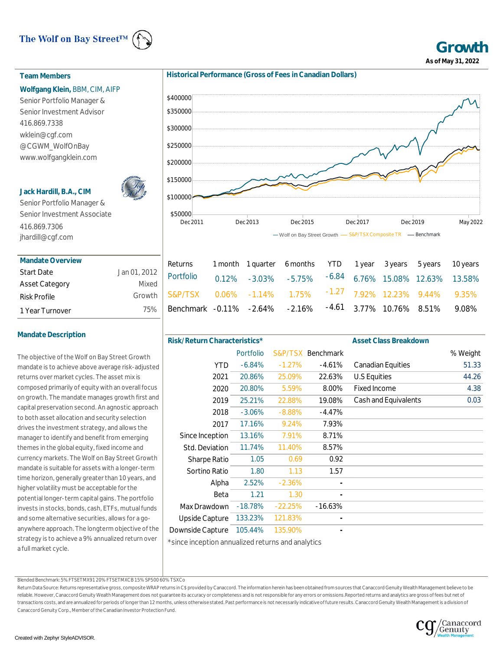# The Wolf on Bay Street™



**Growth As of May 31, 2022**

## **Team Members**

## **Wolfgang Klein,** BBM, CIM, AIFP

Senior Portfolio Manager & Senior Investment Advisor 416.869.7338 wklein@cgf.com @CGWM\_WolfOnBay www.wolfgangklein.com

## **Jack Hardill, B.A., CIM**



Senior Portfolio Manager & Senior Investment Associate 416.869.7306 jhardill@cgf.com

| <b>Mandate Overview</b> |              |
|-------------------------|--------------|
| <b>Start Date</b>       | Jan 01, 2012 |
| <b>Asset Category</b>   | Mixed        |
| Risk Profile            | Growth       |
| 1 Year Turnover         | 75%          |

# **Mandate Description**

The objective of the Wolf on Bay Street Growth mandate is to achieve above average risk-adjusted returns over market cycles. The asset mix is composed primarily of equity with an overall focus on growth. The mandate manages growth first and capital preservation second. An agnostic approach to both asset allocation and security selection drives the investment strategy, and allows the manager to identify and benefit from emerging themes in the global equity, fixed income and currency markets. The Wolf on Bay Street Growth mandate is suitable for assets with a longer-term time horizon, generally greater than 10 years, and higher volatility must be acceptable for the potential longer-term capital gains. The portfolio invests in stocks, bonds, cash, ETFs, mutual funds and some alternative securities, allows for a goanywhere approach. The longterm objective of the strategy is to achieve a 9% annualized return over a full market cycle.

**Historical Performance (Gross of Fees in Canadian Dollars)**



| Returns 1 month 1 quarter 6 months YTD 1 year 3 years 5 years 10 years     |  |  |  |  |
|----------------------------------------------------------------------------|--|--|--|--|
| Portfolio  0.12% -3.03% -5.75% -6.84 6.76% 15.08% 12.63% 13.58%            |  |  |  |  |
| h S&P/TSX 0.06% -1.14% 1.75% <sup>-1.27</sup> 7.92% 12.23% 9.44% 9.35%     |  |  |  |  |
| % Benchmark -0.11% -2.64% -2.16% <sup>-4.61</sup> 3.77% 10.76% 8.51% 9.08% |  |  |  |  |
|                                                                            |  |  |  |  |

| Risk/Return Characteristics* |                                                   |           |                   | <b>Asset Class Breakdown</b> |          |  |  |  |  |  |  |  |
|------------------------------|---------------------------------------------------|-----------|-------------------|------------------------------|----------|--|--|--|--|--|--|--|
|                              | Portfolio                                         |           | S&P/TSX Benchmark |                              | % Weight |  |  |  |  |  |  |  |
| <b>YTD</b>                   | $-6.84%$                                          | $-1.27%$  | $-4.61%$          | <b>Canadian Equities</b>     | 51.33    |  |  |  |  |  |  |  |
| 2021                         | 20.86%                                            | 25.09%    | 22.63%            | <b>U.S Equities</b>          | 44.26    |  |  |  |  |  |  |  |
| 2020                         | 20.80%                                            | 5.59%     | 8.00%             | <b>Fixed Income</b>          | 4.38     |  |  |  |  |  |  |  |
| 2019                         | 25.21%                                            | 22.88%    | 19.08%            | Cash and Equivalents         | 0.03     |  |  |  |  |  |  |  |
| 2018                         | $-3.06%$                                          | $-8.88%$  | $-4.47%$          |                              |          |  |  |  |  |  |  |  |
| 2017                         | 17.16%                                            | 9.24%     | 7.93%             |                              |          |  |  |  |  |  |  |  |
| Since Inception              | 13.16%                                            | 7.91%     | 8.71%             |                              |          |  |  |  |  |  |  |  |
| Std. Deviation               | 11.74%                                            | 11.40%    | 8.57%             |                              |          |  |  |  |  |  |  |  |
| <b>Sharpe Ratio</b>          | 1.05                                              | 0.69      | 0.92              |                              |          |  |  |  |  |  |  |  |
| Sortino Ratio                | 1.80                                              | 1.13      | 1.57              |                              |          |  |  |  |  |  |  |  |
| Alpha                        | 2.52%                                             | $-2.36%$  |                   |                              |          |  |  |  |  |  |  |  |
| Beta                         | 1.21                                              | 1.30      |                   |                              |          |  |  |  |  |  |  |  |
| Max Drawdown                 | $-18.78%$                                         | $-22.25%$ | $-16.63%$         |                              |          |  |  |  |  |  |  |  |
| <b>Upside Capture</b>        | 133.23%                                           | 121.83%   |                   |                              |          |  |  |  |  |  |  |  |
| Downside Capture             | 105.44%                                           | 135.90%   |                   |                              |          |  |  |  |  |  |  |  |
|                              | toingo ingentian annualized returns and anglutias |           |                   |                              |          |  |  |  |  |  |  |  |

\*since inception annualized returns and analytics

Blended Benchmark: 5% FTSETMX91 20% FTSETMXCB 15% SP500 60% TSXCo

Return Data Source: Returns representative gross, composite WRAP returns in C\$ provided by Canaccord. The information herein has been obtained from sources that Canaccord Genuity Wealth Management believe to be reliable. However, Canaccord Genuity Wealth Management does not guarantee its accuracy or completeness and is not responsible for any errors or omissions.Reported returns and analytics are gross of fees but net of transactions costs, and are annualized for periods of longer than 12 months, unless otherwise stated. Past performance is not necessarily indicative of future results. Canaccord Genuity Wealth Management is a division of Canaccord Genuity Corp., Member of the Canadian Investor Protection Fund.